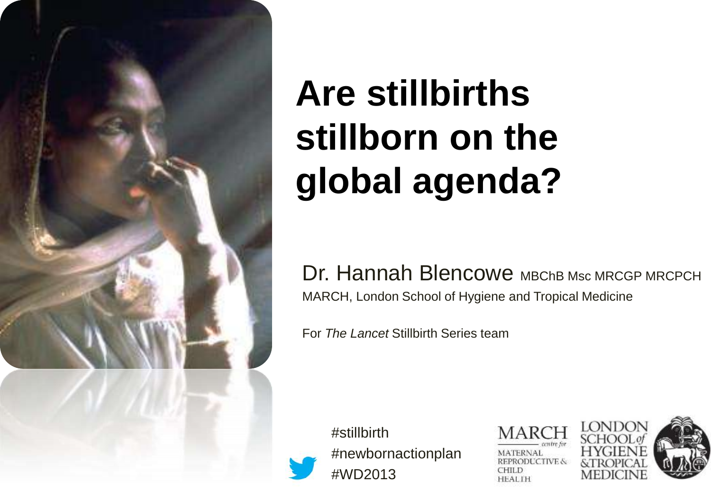

# **Are stillbirths stillborn on the global agenda?**

Dr. Hannah Blencowe MBChB Msc MRCGP MRCPCH MARCH, London School of Hygiene and Tropical Medicine

For *The Lancet* Stillbirth Series team

#stillbirth #newbornactionplan #WD2013

**MATERNAL** REPRODUCTIVE & CHILD **HEALTH** 

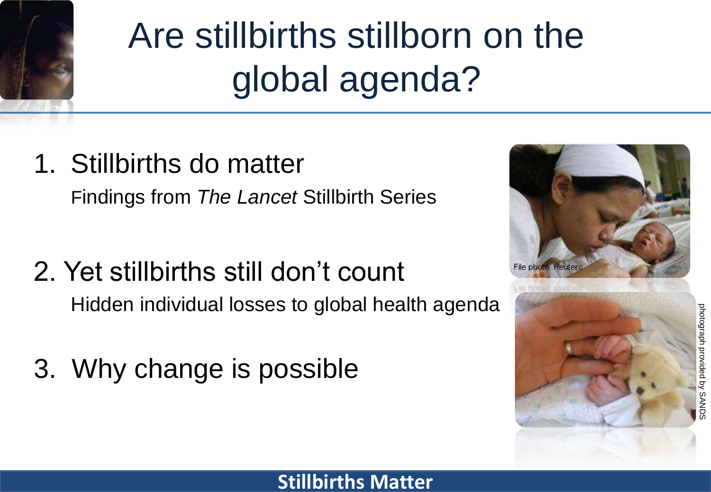

# Are stillbirths stillborn on the global agenda?

- 1. Stillbirths do matter Findings from *The Lancet* Stillbirth Series
- 2. Yet stillbirths still don't count Hidden individual losses to global health agenda
- 3. Why change is possible



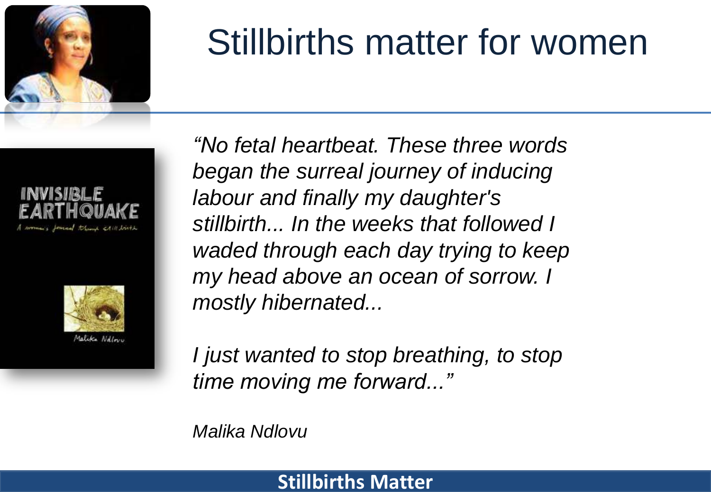

### Stillbirths matter for women





*"No fetal heartbeat. These three words began the surreal journey of inducing labour and finally my daughter's stillbirth... In the weeks that followed I waded through each day trying to keep my head above an ocean of sorrow. I mostly hibernated...*

*I just wanted to stop breathing, to stop time moving me forward..."* 

*Malika Ndlovu*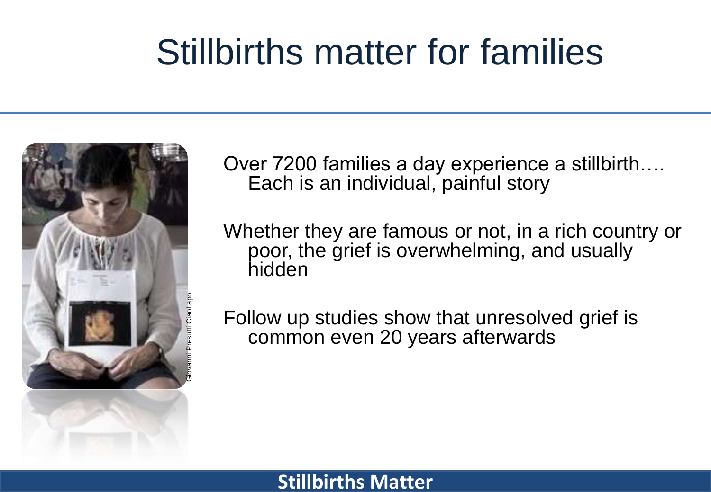### Stillbirths matter for families



Over 7200 families a day experience a stillbirth…. Each is an individual, painful story

Whether they are famous or not, in a rich country or poor, the grief is overwhelming, and usually hidden

Follow up studies show that unresolved grief is common even 20 years afterwards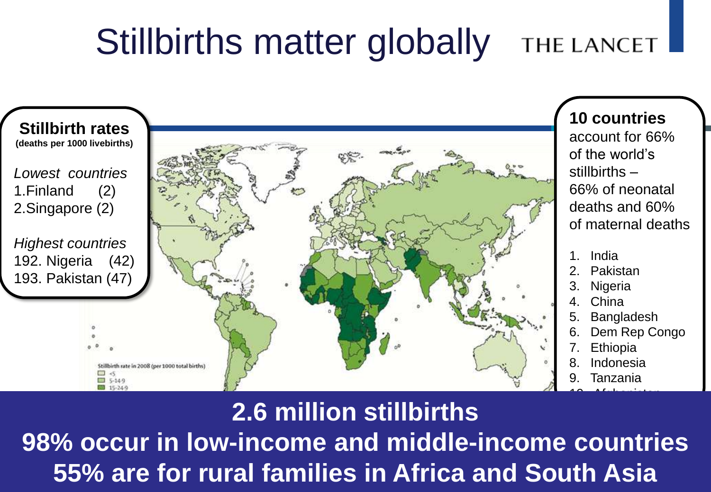#### Stillbirths matter globally **THE LANCET**



### **2.6 million stillbirths**

Source: Lawn JE, Blencowe H, Pattinson R, et al, for The Lancet's Stillbirths Series steering committee. Stillbirths: Where? When? Why? How to make the **Figure 155% are for rural families in Africa and South Asia 98% occur in low-income and middle-income countries**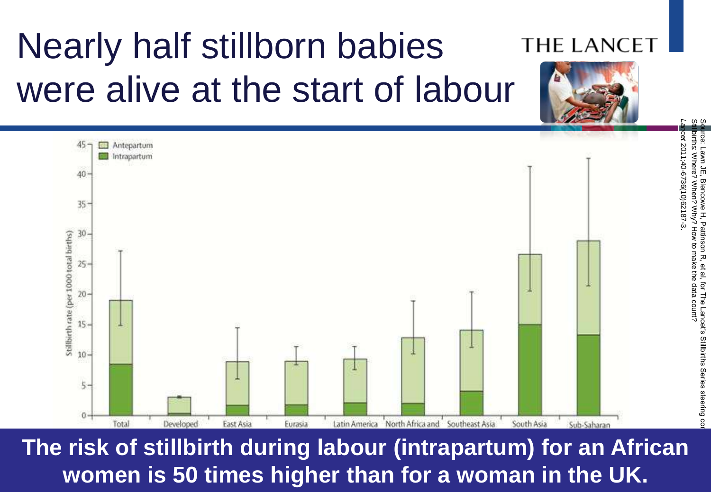

Nearly half stillborn babies

**The risk of stillbirth during labour (intrapartum) for an African women is 50 times higher than for a woman in the UK.**

#### **THE LANCET**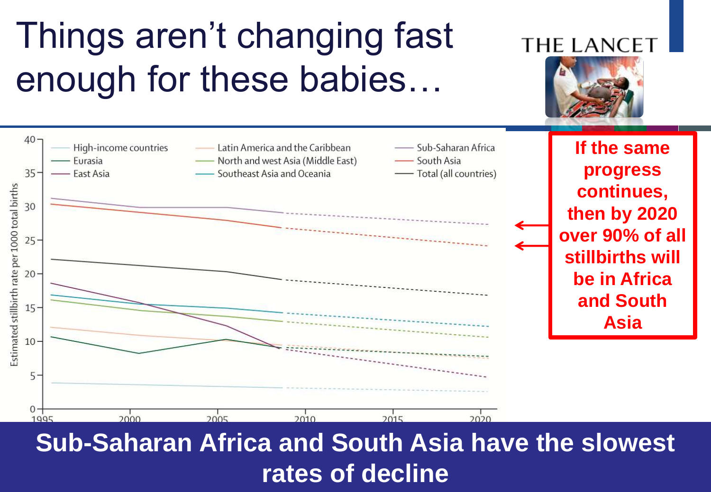### Things aren't changing fast enough for these babies…



### **Sub-Saharan Africa and South Asia have the slowest rates of decline**

#### **THE LANC**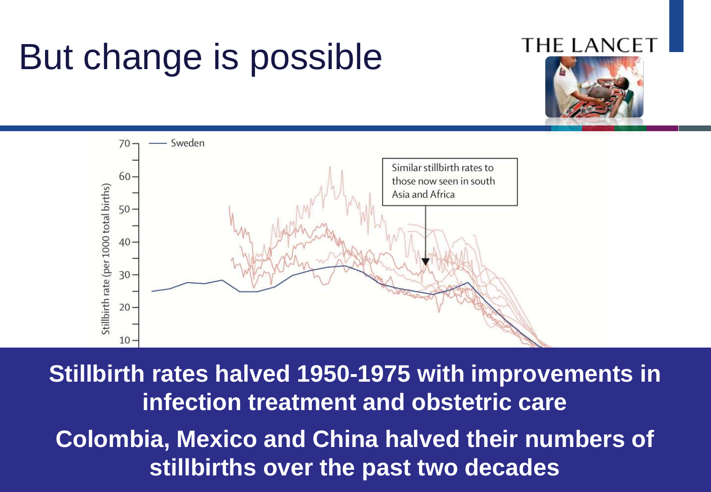### But change is possible

#### **THE LANCI**





Source: Goldenberg RL, McClure EM, Bhutta ZA, et al, for The Lancet's Stillbirths Series steering committee. Stillbirths: the vision for 2020. *Lancet* 2011; **Published Colombia, Mexico and China halved their numbers of Example 2018: infection treatment and obstetric care stillbirths over the past two decades Stillbirth rates halved 1950-1975 with improvements in**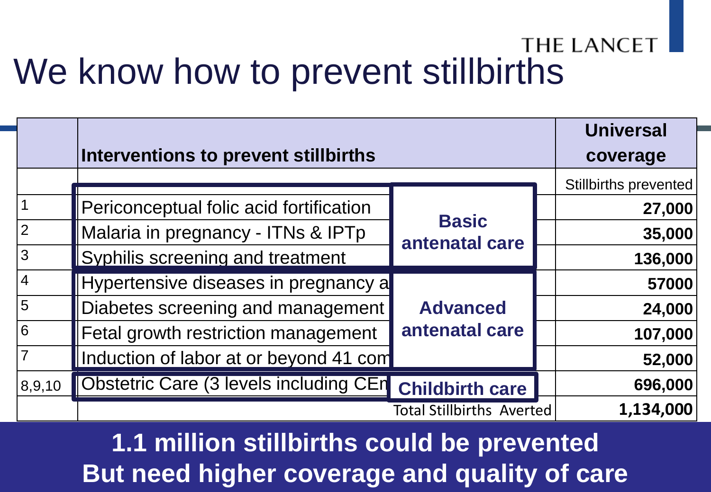### **THE LANCET** We know how to prevent stillbirths

|                 | Interventions to prevent stillbirths    |                                   | <b>Universal</b><br>coverage |
|-----------------|-----------------------------------------|-----------------------------------|------------------------------|
|                 |                                         |                                   | <b>Stillbirths prevented</b> |
|                 | Periconceptual folic acid fortification | <b>Basic</b><br>antenatal care    | 27,000                       |
| $\overline{2}$  | Malaria in pregnancy - ITNs & IPTp      |                                   | 35,000                       |
| $\overline{3}$  | Syphilis screening and treatment        |                                   | 136,000                      |
| $\overline{4}$  | Hypertensive diseases in pregnancy a    | <b>Advanced</b><br>antenatal care | 57000                        |
| $\overline{5}$  | Diabetes screening and management       |                                   | 24,000                       |
| $6\phantom{1}6$ | Fetal growth restriction management     |                                   | 107,000                      |
| $\overline{7}$  | Induction of labor at or beyond 41 com  |                                   | 52,000                       |
| 8,9,10          | Obstetric Care (3 levels including CEn  | <b>Childbirth care</b>            | 696,000                      |
|                 |                                         | <b>Total Stillbirths Averted</b>  | 1,134,000                    |

#### Stillbirths: what difference can we make and at what cost?Bhutta ZA, Yakoob MY, Lawn JE, Rizvi A, Friberg IK, Weissman E, Buchmann E, Goldenberg RL; **But need higher coverage and quality of care 1.1 million stillbirths could be prevented**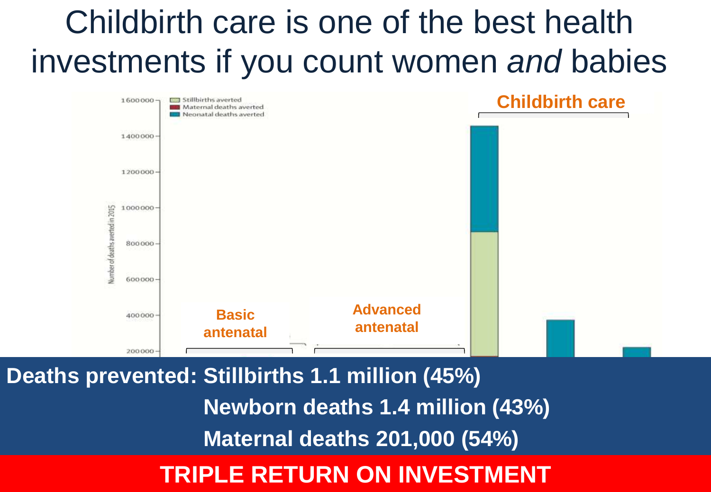### Childbirth care is one of the best health investments if you count women *and* babies



**Deaths prevented: Stillbirths 1.1 million (45%) Newborn deaths 1.4 million (43%) Maternal deaths 201,000 (54%)**

#### Source: Pattinson R, Kerber K, Buchmann E, et al, for The Lancet's Stillbirths Series steering committee. Stillbirths: how can health systems deliver for **Lancette: 2011; Published online April 14. DOI:10.1016.1016. DOI:10.1016.1016. DOI:10.1016.1016.2014**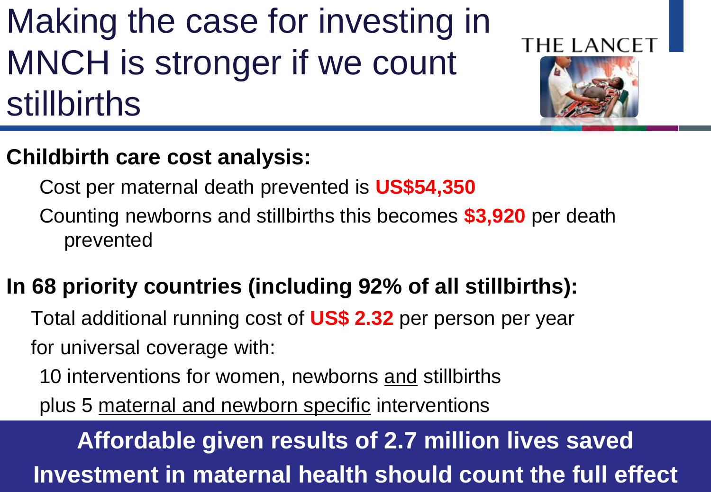### Making the case for investing in MNCH is stronger if we count stillbirths

### **THE LANCE**



### **Childbirth care cost analysis:**

Cost per maternal death prevented is **US\$54,350**

Counting newborns and stillbirths this becomes **\$3,920** per death prevented

### **In 68 priority countries (including 92% of all stillbirths):**

Total additional running cost of **US\$ 2.32** per person per year for universal coverage with:

10 interventions for women, newborns and stillbirths

plus 5 maternal and newborn specific interventions

Source: Pattinson R, Kerber K, Buchmann E, et al, for The Lanceties. Stillbirths Series steering committee. St<br>Stillbirths Series steering committee. Stillbirths Series steering for the Lanceties steering for the Lancetie **Investment in maternal health should count the full effect Affordable given results of 2.7 million lives saved**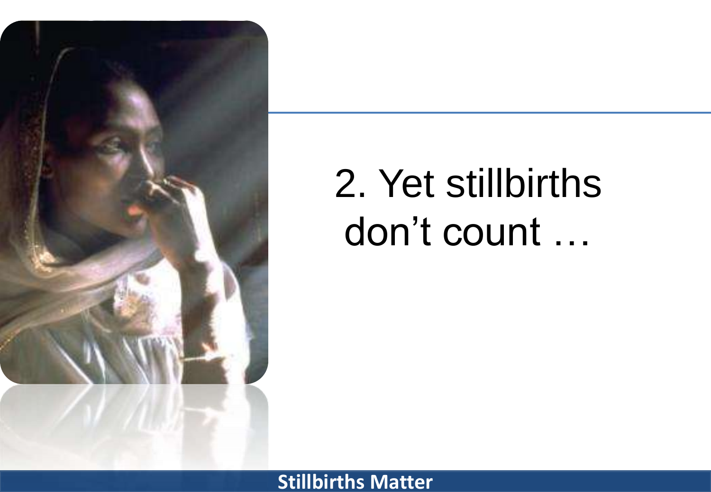

# 2. Yet stillbirths don't count …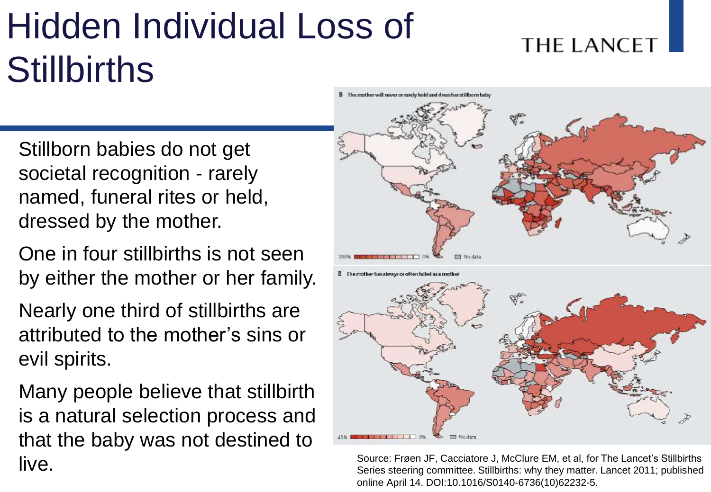# Hidden Individual Loss of **Stillbirths**

### Stillborn babies do not get societal recognition - rarely named, funeral rites or held, dressed by the mother.

- One in four stillbirths is not seen by either the mother or her family.
- Nearly one third of stillbirths are attributed to the mother's sins or evil spirits.

Many people believe that stillbirth is a natural selection process and that the baby was not destined to live.





#### **THE LANCET**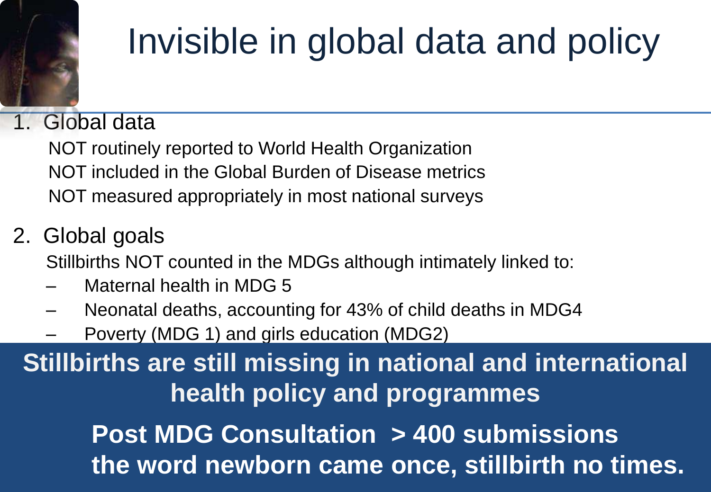# Invisible in global data and policy

### 1. Global data

 NOT routinely reported to World Health Organization NOT included in the Global Burden of Disease metrics NOT measured appropriately in most national surveys

### 2. Global goals

Stillbirths NOT counted in the MDGs although intimately linked to:

- Maternal health in MDG 5
- Neonatal deaths, accounting for 43% of child deaths in MDG4
- Poverty (MDG 1) and girls education (MDG2)

**Stillbirths are still missing in national and international health policy and programmes**

> **Stillbirths Matter Post MDG Consultation > 400 submissions the word newborn came once, stillbirth no times.**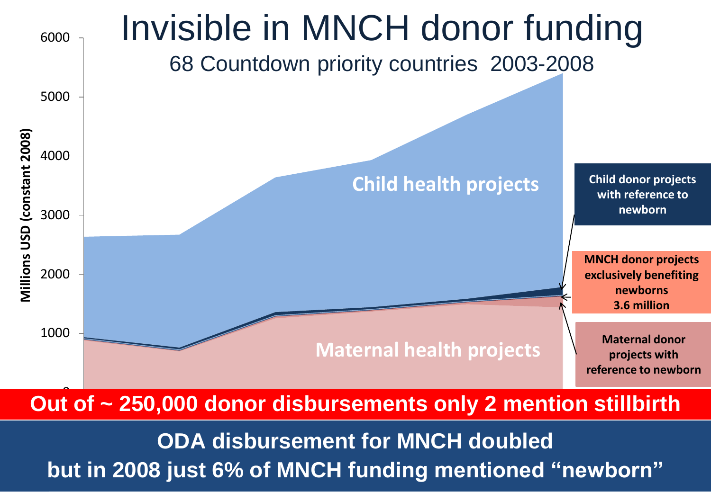

### Out of ~ 250,000 donor disbursements only 2 mention stillbirth

 $\,$ Dut in 2008. IUSt 6% of MNCH funding mentioned "newborn"  $\,$ but in 2008 just 6% of MNCH funding mentioned **"newborn**" **ODA disbursement for MNCH doubled**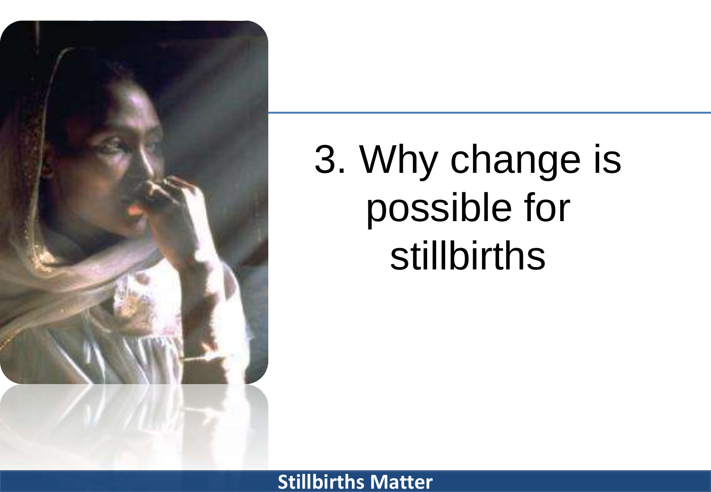

3. Why change is possible for stillbirths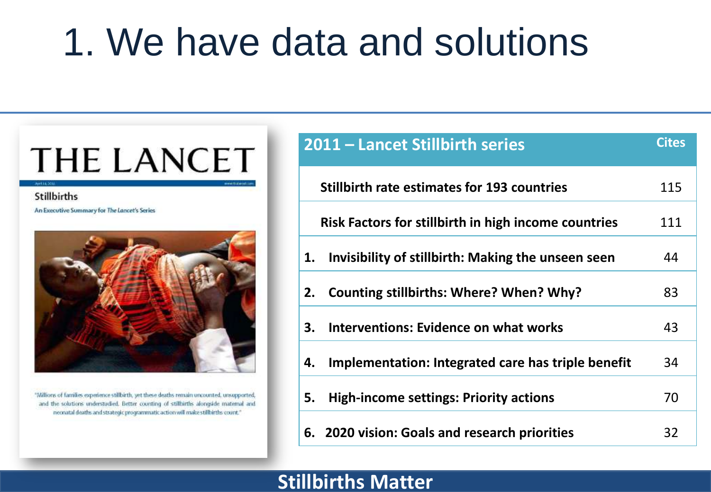### 1. We have data and solutions

### **THE LANCET**

#### **Stillbirths**

An Executive Summary for The Lancet's Series



"Millions of families experience stillbirth, yet these deaths remain uncounted, unsupported, and the solutions understudied. Better counting of stillbirths alongside maternal and neonatal deaths and strategic programmatic action will make stillbirths count."

|    | 2011 - Lancet Stillbirth series                      | <b>Cites</b> |
|----|------------------------------------------------------|--------------|
|    | <b>Stillbirth rate estimates for 193 countries</b>   | 115          |
|    | Risk Factors for stillbirth in high income countries | 111          |
| 1. | Invisibility of stillbirth: Making the unseen seen   | 44           |
| 2. | Counting stillbirths: Where? When? Why?              | 83           |
| 3. | <b>Interventions: Evidence on what works</b>         | 43           |
| 4. | Implementation: Integrated care has triple benefit   | 34           |
| 5. | <b>High-income settings: Priority actions</b>        | 70           |
|    | 6. 2020 vision: Goals and research priorities        | 32           |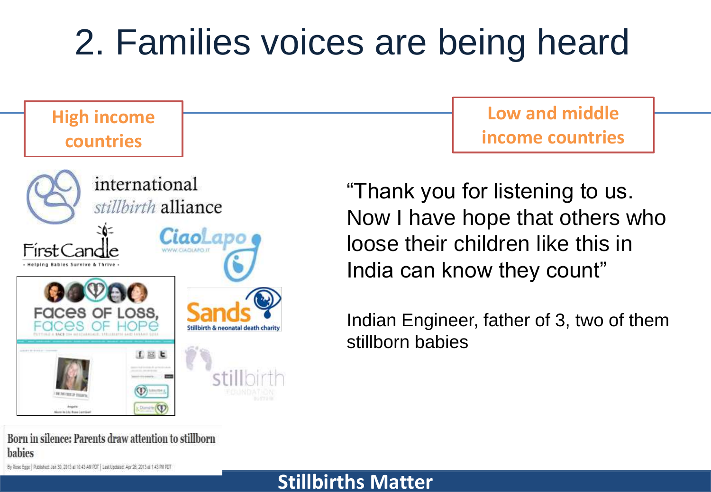### 2. Families voices are being heard

### **High income countries**



**Low and middle income countries**

"Thank you for listening to us. Now I have hope that others who loose their children like this in India can know they count"

Indian Engineer, father of 3, two of them stillborn babies

Born in silence: Parents draw attention to stillborn habies

By Rose Egge | Published: Jan 30, 2013 at 93:43 AM PDT | Last Updated: Apr 26, 2013 at 1:43 PM PDT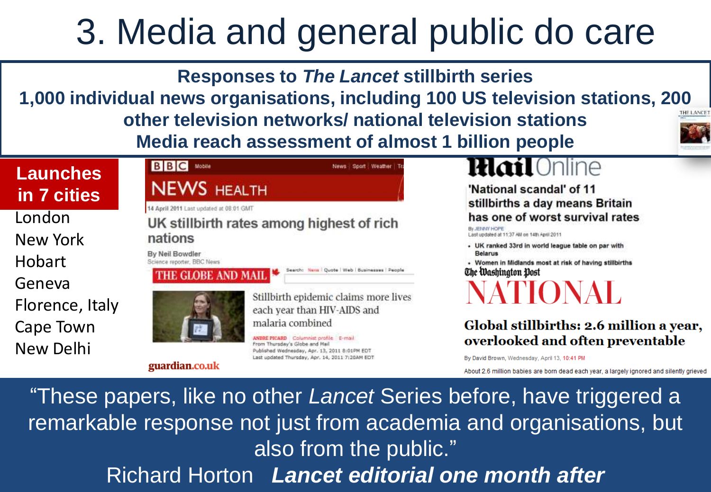### 3. Media and general public do care

**Responses to** *The Lancet* **stillbirth series**

**1,000 individual news organisations, including 100 US television stations, 200 other television networks/ national television stations Media reach assessment of almost 1 billion people**



#### **Launches in 7 cities**

London New York Hobart Geneva Florence, Italy Cape Town New Delhi



guardian.co.uk

#### .0nline lłlat

'National scandal' of 11 stillbirths a day means Britain has one of worst survival rates

By JENNY HOPE Last updated at 11:37 AM on 14th April 2011

- UK ranked 33rd in world league table on par with **Belarus** 

- Women in Midlands most at risk of having stillbirths The Washington Post

IONAL

#### Global stillbirths: 2.6 million a year, overlooked and often preventable

By David Brown, Wednesday, April 13, 10:41 PM

About 2.6 million babies are born dead each year, a largely ignored and silently grieved

Lancet editorial "These papers, like no other *Lancet* Series before, have triggered a remarkable response not just from academia and organisations, but also from the public." Richard Horton *Lancet editorial one month after*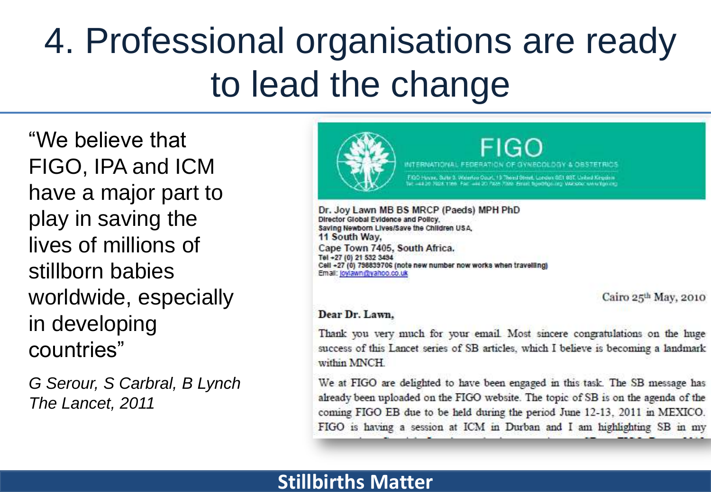### 4. Professional organisations are ready to lead the change

"We believe that FIGO, IPA and ICM have a major part to play in saving the lives of millions of stillborn babies worldwide, especially in developing countries"

*G Serour, S Carbral, B Lynch The Lancet, 2011*



FIGC DOY & OBSTRIES **INTERNATIONAL** 

Livare, Suite 3, Walerford Court, 19 Thorst Street, London GET 88T, United Kingdom 44 20 FAX5 7000 Email Bood following MAI shot www.file

Dr. Joy Lawn MB BS MRCP (Paeds) MPH PhD Director Global Evidence and Policy. Saving Newborn Lives/Save the Children USA, 11 South Wav. Cape Town 7405, South Africa. Tel +27 (0) 21 532 3494 Cell +27 (0) 798839706 (note new number now works when travelling) Email: joylawn@yahoo.co.uk

Cairo 25th May, 2010

#### Dear Dr. Lawn.

Thank you very much for your email. Most sincere congratulations on the huge success of this Lancet series of SB articles, which I believe is becoming a landmark within MNCH

We at FIGO are delighted to have been engaged in this task. The SB message has already been uploaded on the FIGO website. The topic of SB is on the agenda of the coming FIGO EB due to be held during the period June 12-13, 2011 in MEXICO. FIGO is having a session at ICM in Durban and I am highlighting SB in my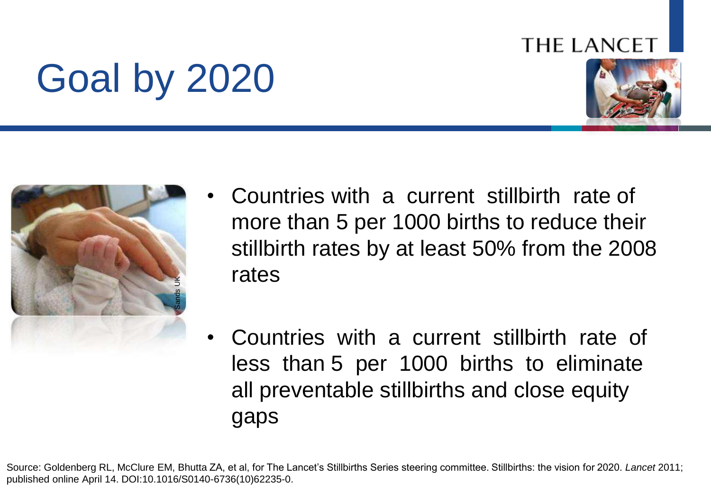#### **THE LANCET**

# Goal by 2020





- Countries with a current stillbirth rate of more than 5 per 1000 births to reduce their stillbirth rates by at least 50% from the 2008 rates
- Countries with a current stillbirth rate of less than 5 per 1000 births to eliminate all preventable stillbirths and close equity gaps

Source: Goldenberg RL, McClure EM, Bhutta ZA, et al, for The Lancet's Stillbirths Series steering committee. Stillbirths: the vision for 2020. *Lancet* 2011; published online April 14. DOI:10.1016/S0140-6736(10)62235-0.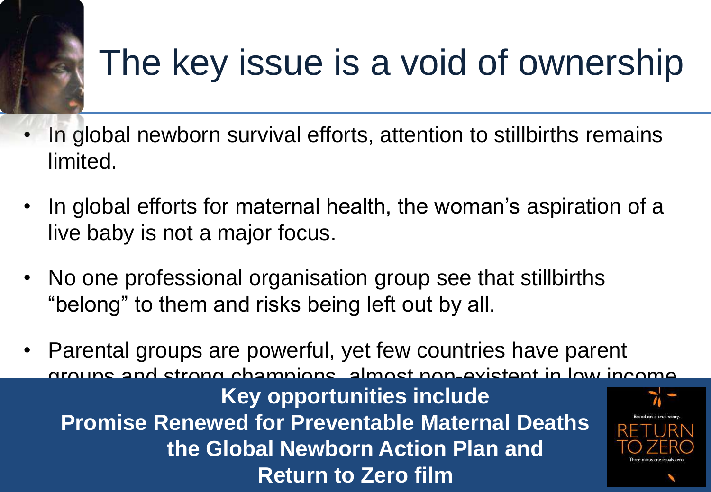### The key issue is a void of ownership

- In global newborn survival efforts, attention to stillbirths remains limited.
- In global efforts for maternal health, the woman's aspiration of a live baby is not a major focus.
- No one professional organisation group see that stillbirths "belong" to them and risks being left out by all.
- **Sturn to Zero fill** • Parental groups are powerful, yet few countries have parent groups and strong champions, almost non-existent in low income **Key opportunities include Promise Renewed for Preventable Maternal Deaths the Global Newborn Action Plan and Return to Zero film**